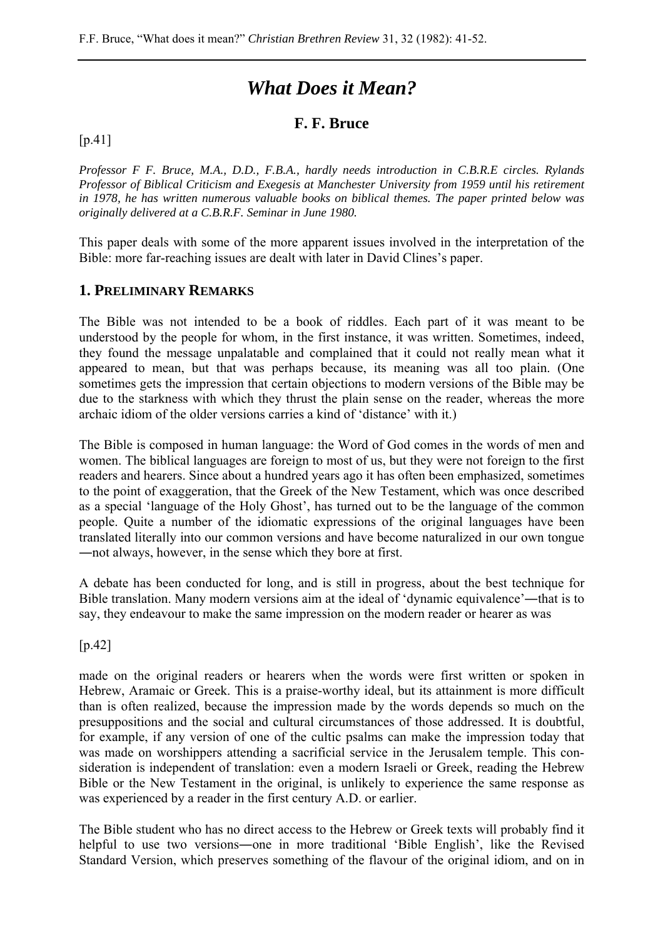# *What Does it Mean?*

### **F. F. Bruce**

#### [p.41]

*Professor F F. Bruce, M.A., D.D., F.B.A., hardly needs introduction in C.B.R.E circles. Rylands Professor of Biblical Criticism and Exegesis at Manchester University from 1959 until his retirement in 1978, he has written numerous valuable books on biblical themes. The paper printed below was originally delivered at a C.B.R.F. Seminar in June 1980.* 

This paper deals with some of the more apparent issues involved in the interpretation of the Bible: more far-reaching issues are dealt with later in David Clines's paper.

#### **1. PRELIMINARY REMARKS**

The Bible was not intended to be a book of riddles. Each part of it was meant to be understood by the people for whom, in the first instance, it was written. Sometimes, indeed, they found the message unpalatable and complained that it could not really mean what it appeared to mean, but that was perhaps because, its meaning was all too plain. (One sometimes gets the impression that certain objections to modern versions of the Bible may be due to the starkness with which they thrust the plain sense on the reader, whereas the more archaic idiom of the older versions carries a kind of 'distance' with it.)

The Bible is composed in human language: the Word of God comes in the words of men and women. The biblical languages are foreign to most of us, but they were not foreign to the first readers and hearers. Since about a hundred years ago it has often been emphasized, sometimes to the point of exaggeration, that the Greek of the New Testament, which was once described as a special 'language of the Holy Ghost', has turned out to be the language of the common people. Quite a number of the idiomatic expressions of the original languages have been translated literally into our common versions and have become naturalized in our own tongue ―not always, however, in the sense which they bore at first.

A debate has been conducted for long, and is still in progress, about the best technique for Bible translation. Many modern versions aim at the ideal of 'dynamic equivalence'―that is to say, they endeavour to make the same impression on the modern reader or hearer as was

[p.42]

made on the original readers or hearers when the words were first written or spoken in Hebrew, Aramaic or Greek. This is a praise-worthy ideal, but its attainment is more difficult than is often realized, because the impression made by the words depends so much on the presuppositions and the social and cultural circumstances of those addressed. It is doubtful, for example, if any version of one of the cultic psalms can make the impression today that was made on worshippers attending a sacrificial service in the Jerusalem temple. This consideration is independent of translation: even a modern Israeli or Greek, reading the Hebrew Bible or the New Testament in the original, is unlikely to experience the same response as was experienced by a reader in the first century A.D. or earlier.

The Bible student who has no direct access to the Hebrew or Greek texts will probably find it helpful to use two versions―one in more traditional 'Bible English', like the Revised Standard Version, which preserves something of the flavour of the original idiom, and on in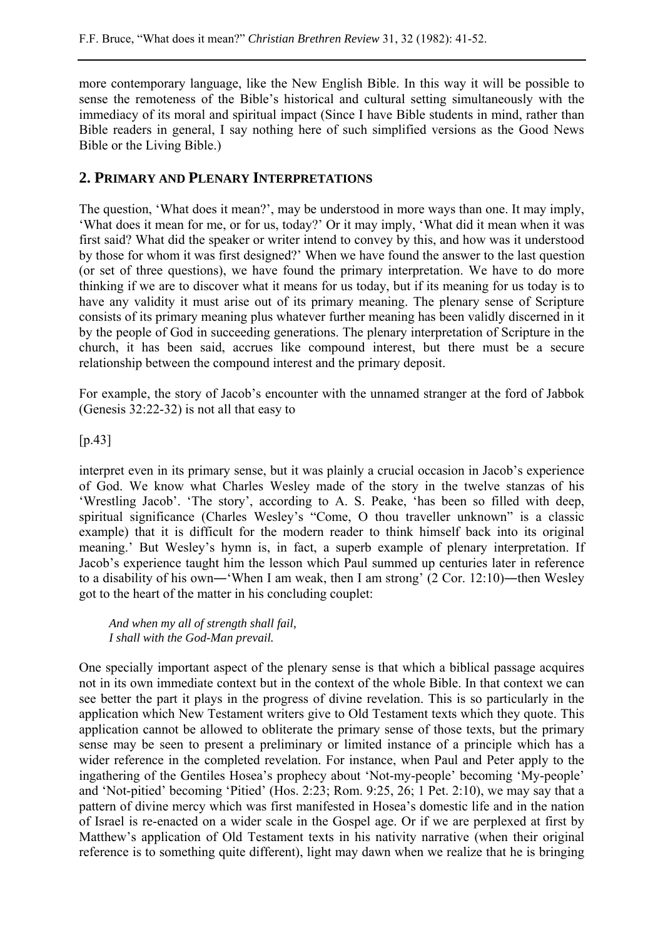more contemporary language, like the New English Bible. In this way it will be possible to sense the remoteness of the Bible's historical and cultural setting simultaneously with the immediacy of its moral and spiritual impact (Since I have Bible students in mind, rather than Bible readers in general, I say nothing here of such simplified versions as the Good News Bible or the Living Bible.)

### **2. PRIMARY AND PLENARY INTERPRETATIONS**

The question, 'What does it mean?', may be understood in more ways than one. It may imply, 'What does it mean for me, or for us, today?' Or it may imply, 'What did it mean when it was first said? What did the speaker or writer intend to convey by this, and how was it understood by those for whom it was first designed?' When we have found the answer to the last question (or set of three questions), we have found the primary interpretation. We have to do more thinking if we are to discover what it means for us today, but if its meaning for us today is to have any validity it must arise out of its primary meaning. The plenary sense of Scripture consists of its primary meaning plus whatever further meaning has been validly discerned in it by the people of God in succeeding generations. The plenary interpretation of Scripture in the church, it has been said, accrues like compound interest, but there must be a secure relationship between the compound interest and the primary deposit.

For example, the story of Jacob's encounter with the unnamed stranger at the ford of Jabbok (Genesis 32:22-32) is not all that easy to

 $[p.43]$ 

interpret even in its primary sense, but it was plainly a crucial occasion in Jacob's experience of God. We know what Charles Wesley made of the story in the twelve stanzas of his 'Wrestling Jacob'. 'The story', according to A. S. Peake, 'has been so filled with deep, spiritual significance (Charles Wesley's "Come, O thou traveller unknown" is a classic example) that it is difficult for the modern reader to think himself back into its original meaning.' But Wesley's hymn is, in fact, a superb example of plenary interpretation. If Jacob's experience taught him the lesson which Paul summed up centuries later in reference to a disability of his own—'When I am weak, then I am strong' (2 Cor. 12:10)—then Wesley got to the heart of the matter in his concluding couplet:

*And when my all of strength shall fail, I shall with the God-Man prevail.*

One specially important aspect of the plenary sense is that which a biblical passage acquires not in its own immediate context but in the context of the whole Bible. In that context we can see better the part it plays in the progress of divine revelation. This is so particularly in the application which New Testament writers give to Old Testament texts which they quote. This application cannot be allowed to obliterate the primary sense of those texts, but the primary sense may be seen to present a preliminary or limited instance of a principle which has a wider reference in the completed revelation. For instance, when Paul and Peter apply to the ingathering of the Gentiles Hosea's prophecy about 'Not-my-people' becoming 'My-people' and 'Not-pitied' becoming 'Pitied' (Hos. 2:23; Rom. 9:25, 26; 1 Pet. 2:10), we may say that a pattern of divine mercy which was first manifested in Hosea's domestic life and in the nation of Israel is re-enacted on a wider scale in the Gospel age. Or if we are perplexed at first by Matthew's application of Old Testament texts in his nativity narrative (when their original reference is to something quite different), light may dawn when we realize that he is bringing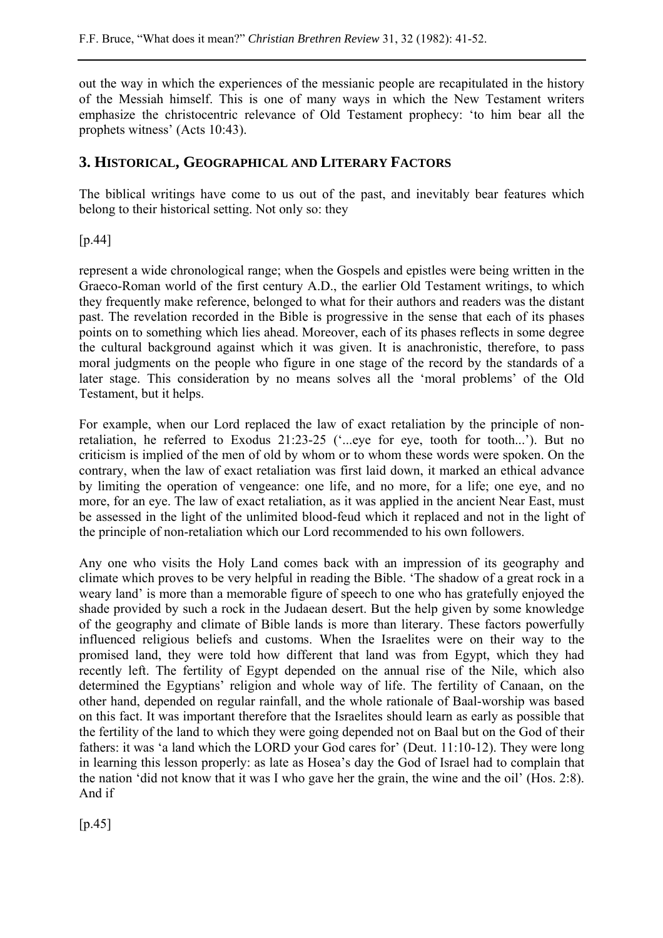out the way in which the experiences of the messianic people are recapitulated in the history of the Messiah himself. This is one of many ways in which the New Testament writers emphasize the christocentric relevance of Old Testament prophecy: 'to him bear all the prophets witness' (Acts 10:43).

### **3. HISTORICAL, GEOGRAPHICAL AND LITERARY FACTORS**

The biblical writings have come to us out of the past, and inevitably bear features which belong to their historical setting. Not only so: they

[p.44]

represent a wide chronological range; when the Gospels and epistles were being written in the Graeco-Roman world of the first century A.D., the earlier Old Testament writings, to which they frequently make reference, belonged to what for their authors and readers was the distant past. The revelation recorded in the Bible is progressive in the sense that each of its phases points on to something which lies ahead. Moreover, each of its phases reflects in some degree the cultural background against which it was given. It is anachronistic, therefore, to pass moral judgments on the people who figure in one stage of the record by the standards of a later stage. This consideration by no means solves all the 'moral problems' of the Old Testament, but it helps.

For example, when our Lord replaced the law of exact retaliation by the principle of nonretaliation, he referred to Exodus 21:23-25 ('...eye for eye, tooth for tooth...'). But no criticism is implied of the men of old by whom or to whom these words were spoken. On the contrary, when the law of exact retaliation was first laid down, it marked an ethical advance by limiting the operation of vengeance: one life, and no more, for a life; one eye, and no more, for an eye. The law of exact retaliation, as it was applied in the ancient Near East, must be assessed in the light of the unlimited blood-feud which it replaced and not in the light of the principle of non-retaliation which our Lord recommended to his own followers.

Any one who visits the Holy Land comes back with an impression of its geography and climate which proves to be very helpful in reading the Bible. 'The shadow of a great rock in a weary land' is more than a memorable figure of speech to one who has gratefully enjoyed the shade provided by such a rock in the Judaean desert. But the help given by some knowledge of the geography and climate of Bible lands is more than literary. These factors powerfully influenced religious beliefs and customs. When the Israelites were on their way to the promised land, they were told how different that land was from Egypt, which they had recently left. The fertility of Egypt depended on the annual rise of the Nile, which also determined the Egyptians' religion and whole way of life. The fertility of Canaan, on the other hand, depended on regular rainfall, and the whole rationale of Baal-worship was based on this fact. It was important therefore that the Israelites should learn as early as possible that the fertility of the land to which they were going depended not on Baal but on the God of their fathers: it was 'a land which the LORD your God cares for' (Deut. 11:10-12). They were long in learning this lesson properly: as late as Hosea's day the God of Israel had to complain that the nation 'did not know that it was I who gave her the grain, the wine and the oil' (Hos. 2:8). And if

 $[p.45]$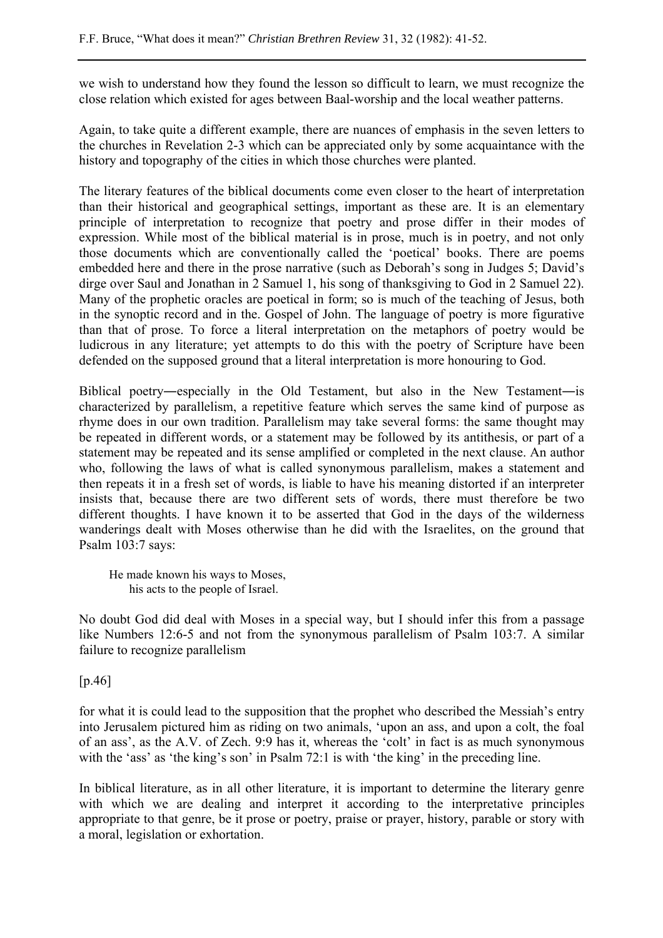we wish to understand how they found the lesson so difficult to learn, we must recognize the close relation which existed for ages between Baal-worship and the local weather patterns.

Again, to take quite a different example, there are nuances of emphasis in the seven letters to the churches in Revelation 2-3 which can be appreciated only by some acquaintance with the history and topography of the cities in which those churches were planted.

The literary features of the biblical documents come even closer to the heart of interpretation than their historical and geographical settings, important as these are. It is an elementary principle of interpretation to recognize that poetry and prose differ in their modes of expression. While most of the biblical material is in prose, much is in poetry, and not only those documents which are conventionally called the 'poetical' books. There are poems embedded here and there in the prose narrative (such as Deborah's song in Judges 5; David's dirge over Saul and Jonathan in 2 Samuel 1, his song of thanksgiving to God in 2 Samuel 22). Many of the prophetic oracles are poetical in form; so is much of the teaching of Jesus, both in the synoptic record and in the. Gospel of John. The language of poetry is more figurative than that of prose. To force a literal interpretation on the metaphors of poetry would be ludicrous in any literature; yet attempts to do this with the poetry of Scripture have been defended on the supposed ground that a literal interpretation is more honouring to God.

Biblical poetry―especially in the Old Testament, but also in the New Testament―is characterized by parallelism, a repetitive feature which serves the same kind of purpose as rhyme does in our own tradition. Parallelism may take several forms: the same thought may be repeated in different words, or a statement may be followed by its antithesis, or part of a statement may be repeated and its sense amplified or completed in the next clause. An author who, following the laws of what is called synonymous parallelism, makes a statement and then repeats it in a fresh set of words, is liable to have his meaning distorted if an interpreter insists that, because there are two different sets of words, there must therefore be two different thoughts. I have known it to be asserted that God in the days of the wilderness wanderings dealt with Moses otherwise than he did with the Israelites, on the ground that Psalm 103:7 says:

He made known his ways to Moses, his acts to the people of Israel.

No doubt God did deal with Moses in a special way, but I should infer this from a passage like Numbers 12:6-5 and not from the synonymous parallelism of Psalm 103:7. A similar failure to recognize parallelism

[p.46]

for what it is could lead to the supposition that the prophet who described the Messiah's entry into Jerusalem pictured him as riding on two animals, 'upon an ass, and upon a colt, the foal of an ass', as the A.V. of Zech. 9:9 has it, whereas the 'colt' in fact is as much synonymous with the 'ass' as 'the king's son' in Psalm 72:1 is with 'the king' in the preceding line.

In biblical literature, as in all other literature, it is important to determine the literary genre with which we are dealing and interpret it according to the interpretative principles appropriate to that genre, be it prose or poetry, praise or prayer, history, parable or story with a moral, legislation or exhortation.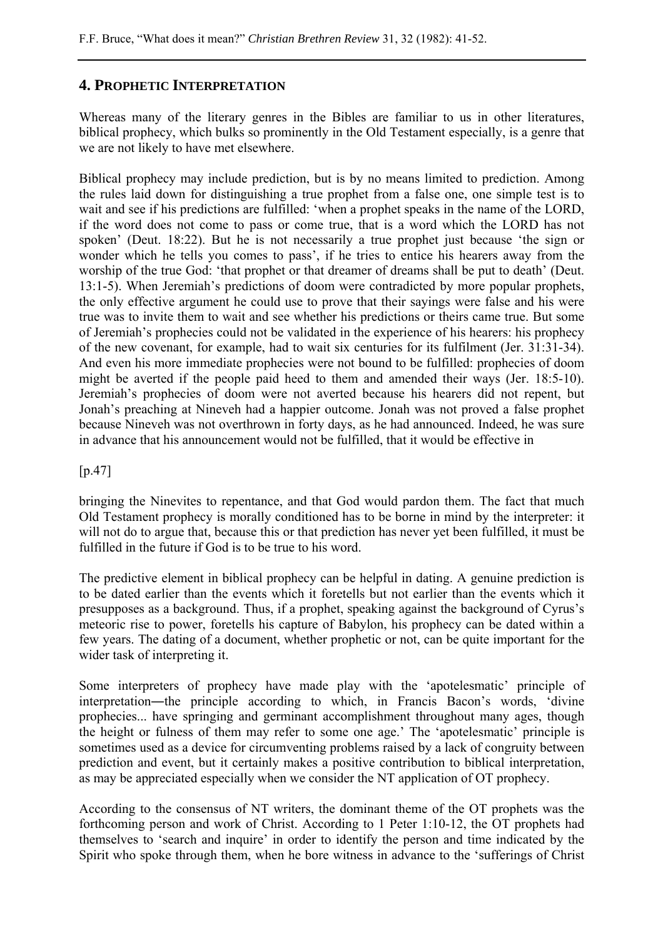## **4. PROPHETIC INTERPRETATION**

Whereas many of the literary genres in the Bibles are familiar to us in other literatures, biblical prophecy, which bulks so prominently in the Old Testament especially, is a genre that we are not likely to have met elsewhere.

Biblical prophecy may include prediction, but is by no means limited to prediction. Among the rules laid down for distinguishing a true prophet from a false one, one simple test is to wait and see if his predictions are fulfilled: 'when a prophet speaks in the name of the LORD, if the word does not come to pass or come true, that is a word which the LORD has not spoken' (Deut. 18:22). But he is not necessarily a true prophet just because 'the sign or wonder which he tells you comes to pass', if he tries to entice his hearers away from the worship of the true God: 'that prophet or that dreamer of dreams shall be put to death' (Deut. 13:1-5). When Jeremiah's predictions of doom were contradicted by more popular prophets, the only effective argument he could use to prove that their sayings were false and his were true was to invite them to wait and see whether his predictions or theirs came true. But some of Jeremiah's prophecies could not be validated in the experience of his hearers: his prophecy of the new covenant, for example, had to wait six centuries for its fulfilment (Jer. 31:31-34). And even his more immediate prophecies were not bound to be fulfilled: prophecies of doom might be averted if the people paid heed to them and amended their ways (Jer. 18:5-10). Jeremiah's prophecies of doom were not averted because his hearers did not repent, but Jonah's preaching at Nineveh had a happier outcome. Jonah was not proved a false prophet because Nineveh was not overthrown in forty days, as he had announced. Indeed, he was sure in advance that his announcement would not be fulfilled, that it would be effective in

#### [p.47]

bringing the Ninevites to repentance, and that God would pardon them. The fact that much Old Testament prophecy is morally conditioned has to be borne in mind by the interpreter: it will not do to argue that, because this or that prediction has never yet been fulfilled, it must be fulfilled in the future if God is to be true to his word.

The predictive element in biblical prophecy can be helpful in dating. A genuine prediction is to be dated earlier than the events which it foretells but not earlier than the events which it presupposes as a background. Thus, if a prophet, speaking against the background of Cyrus's meteoric rise to power, foretells his capture of Babylon, his prophecy can be dated within a few years. The dating of a document, whether prophetic or not, can be quite important for the wider task of interpreting it.

Some interpreters of prophecy have made play with the 'apotelesmatic' principle of interpretation―the principle according to which, in Francis Bacon's words, 'divine prophecies... have springing and germinant accomplishment throughout many ages, though the height or fulness of them may refer to some one age.' The 'apotelesmatic' principle is sometimes used as a device for circumventing problems raised by a lack of congruity between prediction and event, but it certainly makes a positive contribution to biblical interpretation, as may be appreciated especially when we consider the NT application of OT prophecy.

According to the consensus of NT writers, the dominant theme of the OT prophets was the forthcoming person and work of Christ. According to 1 Peter 1:10-12, the OT prophets had themselves to 'search and inquire' in order to identify the person and time indicated by the Spirit who spoke through them, when he bore witness in advance to the 'sufferings of Christ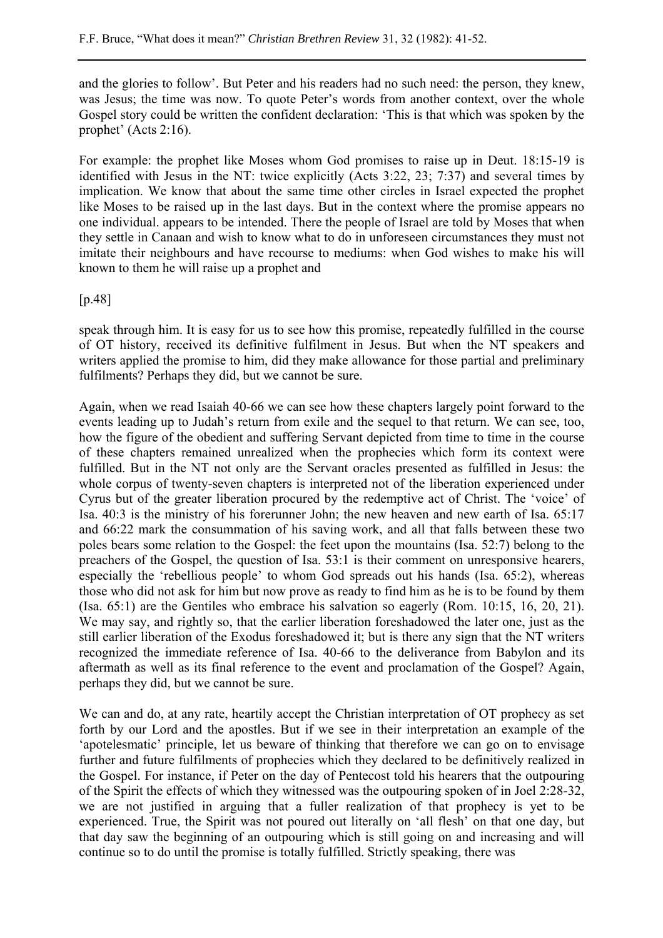and the glories to follow'. But Peter and his readers had no such need: the person, they knew, was Jesus; the time was now. To quote Peter's words from another context, over the whole Gospel story could be written the confident declaration: 'This is that which was spoken by the prophet' (Acts 2:16).

For example: the prophet like Moses whom God promises to raise up in Deut. 18:15-19 is identified with Jesus in the NT: twice explicitly (Acts 3:22, 23; 7:37) and several times by implication. We know that about the same time other circles in Israel expected the prophet like Moses to be raised up in the last days. But in the context where the promise appears no one individual. appears to be intended. There the people of Israel are told by Moses that when they settle in Canaan and wish to know what to do in unforeseen circumstances they must not imitate their neighbours and have recourse to mediums: when God wishes to make his will known to them he will raise up a prophet and

[p.48]

speak through him. It is easy for us to see how this promise, repeatedly fulfilled in the course of OT history, received its definitive fulfilment in Jesus. But when the NT speakers and writers applied the promise to him, did they make allowance for those partial and preliminary fulfilments? Perhaps they did, but we cannot be sure.

Again, when we read Isaiah 40-66 we can see how these chapters largely point forward to the events leading up to Judah's return from exile and the sequel to that return. We can see, too, how the figure of the obedient and suffering Servant depicted from time to time in the course of these chapters remained unrealized when the prophecies which form its context were fulfilled. But in the NT not only are the Servant oracles presented as fulfilled in Jesus: the whole corpus of twenty-seven chapters is interpreted not of the liberation experienced under Cyrus but of the greater liberation procured by the redemptive act of Christ. The 'voice' of Isa. 40:3 is the ministry of his forerunner John; the new heaven and new earth of Isa. 65:17 and 66:22 mark the consummation of his saving work, and all that falls between these two poles bears some relation to the Gospel: the feet upon the mountains (Isa. 52:7) belong to the preachers of the Gospel, the question of Isa. 53:1 is their comment on unresponsive hearers, especially the 'rebellious people' to whom God spreads out his hands (Isa. 65:2), whereas those who did not ask for him but now prove as ready to find him as he is to be found by them (Isa. 65:1) are the Gentiles who embrace his salvation so eagerly (Rom. 10:15, 16, 20, 21). We may say, and rightly so, that the earlier liberation foreshadowed the later one, just as the still earlier liberation of the Exodus foreshadowed it; but is there any sign that the NT writers recognized the immediate reference of Isa. 40-66 to the deliverance from Babylon and its aftermath as well as its final reference to the event and proclamation of the Gospel? Again, perhaps they did, but we cannot be sure.

We can and do, at any rate, heartily accept the Christian interpretation of OT prophecy as set forth by our Lord and the apostles. But if we see in their interpretation an example of the 'apotelesmatic' principle, let us beware of thinking that therefore we can go on to envisage further and future fulfilments of prophecies which they declared to be definitively realized in the Gospel. For instance, if Peter on the day of Pentecost told his hearers that the outpouring of the Spirit the effects of which they witnessed was the outpouring spoken of in Joel 2:28-32, we are not justified in arguing that a fuller realization of that prophecy is yet to be experienced. True, the Spirit was not poured out literally on 'all flesh' on that one day, but that day saw the beginning of an outpouring which is still going on and increasing and will continue so to do until the promise is totally fulfilled. Strictly speaking, there was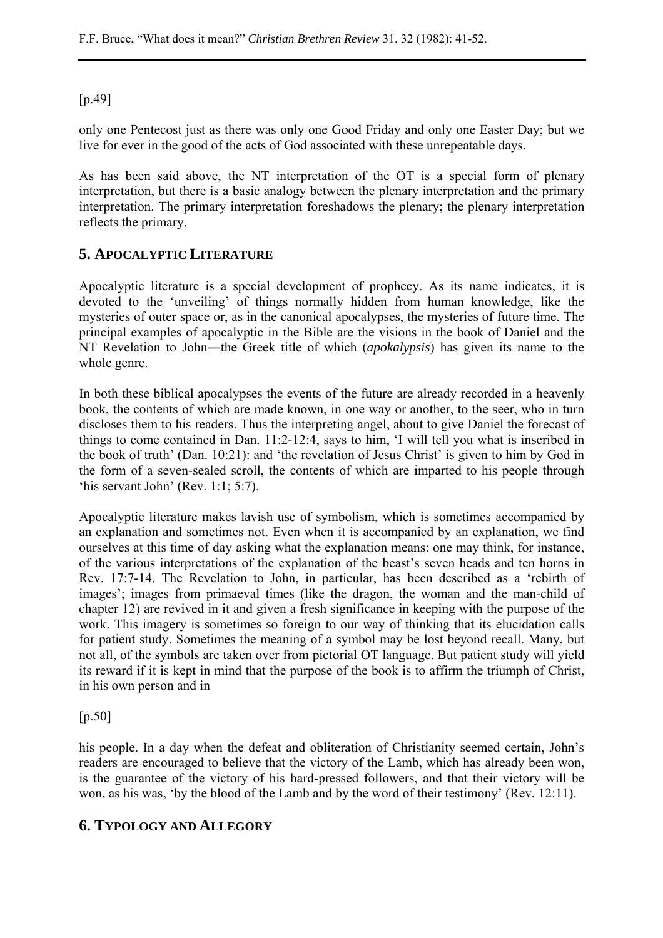[p.49]

only one Pentecost just as there was only one Good Friday and only one Easter Day; but we live for ever in the good of the acts of God associated with these unrepeatable days.

As has been said above, the NT interpretation of the OT is a special form of plenary interpretation, but there is a basic analogy between the plenary interpretation and the primary interpretation. The primary interpretation foreshadows the plenary; the plenary interpretation reflects the primary.

## **5. APOCALYPTIC LITERATURE**

Apocalyptic literature is a special development of prophecy. As its name indicates, it is devoted to the 'unveiling' of things normally hidden from human knowledge, like the mysteries of outer space or, as in the canonical apocalypses, the mysteries of future time. The principal examples of apocalyptic in the Bible are the visions in the book of Daniel and the NT Revelation to John―the Greek title of which (*apokalypsis*) has given its name to the whole genre.

In both these biblical apocalypses the events of the future are already recorded in a heavenly book, the contents of which are made known, in one way or another, to the seer, who in turn discloses them to his readers. Thus the interpreting angel, about to give Daniel the forecast of things to come contained in Dan. 11:2-12:4, says to him, 'I will tell you what is inscribed in the book of truth' (Dan. 10:21): and 'the revelation of Jesus Christ' is given to him by God in the form of a seven-sealed scroll, the contents of which are imparted to his people through 'his servant John' (Rev. 1:1; 5:7).

Apocalyptic literature makes lavish use of symbolism, which is sometimes accompanied by an explanation and sometimes not. Even when it is accompanied by an explanation, we find ourselves at this time of day asking what the explanation means: one may think, for instance, of the various interpretations of the explanation of the beast's seven heads and ten horns in Rev. 17:7-14. The Revelation to John, in particular, has been described as a 'rebirth of images'; images from primaeval times (like the dragon, the woman and the man-child of chapter 12) are revived in it and given a fresh significance in keeping with the purpose of the work. This imagery is sometimes so foreign to our way of thinking that its elucidation calls for patient study. Sometimes the meaning of a symbol may be lost beyond recall. Many, but not all, of the symbols are taken over from pictorial OT language. But patient study will yield its reward if it is kept in mind that the purpose of the book is to affirm the triumph of Christ, in his own person and in

[p.50]

his people. In a day when the defeat and obliteration of Christianity seemed certain, John's readers are encouraged to believe that the victory of the Lamb, which has already been won, is the guarantee of the victory of his hard-pressed followers, and that their victory will be won, as his was, 'by the blood of the Lamb and by the word of their testimony' (Rev. 12:11).

### **6. TYPOLOGY AND ALLEGORY**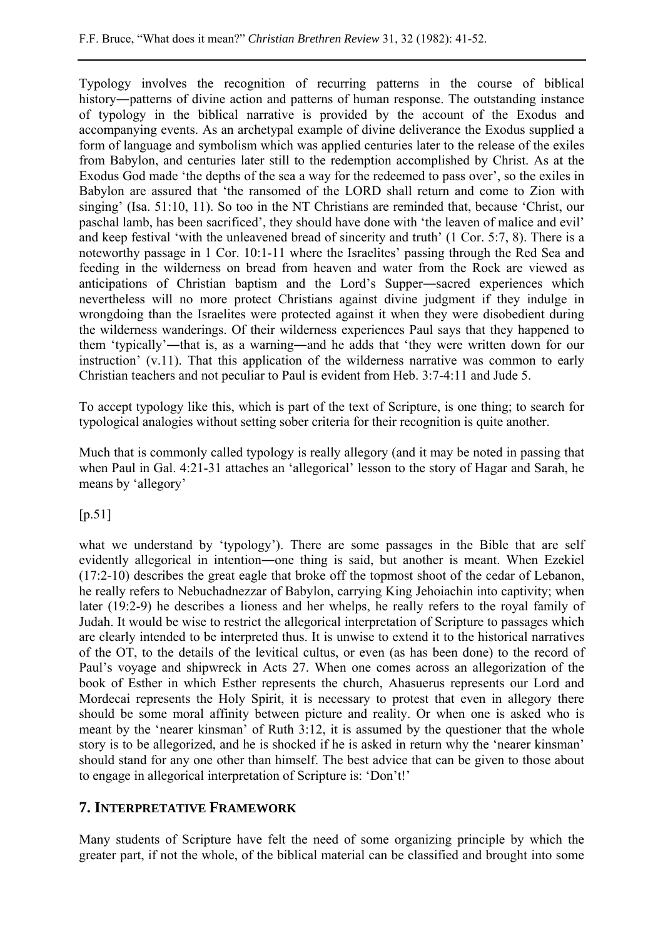Typology involves the recognition of recurring patterns in the course of biblical history—patterns of divine action and patterns of human response. The outstanding instance of typology in the biblical narrative is provided by the account of the Exodus and accompanying events. As an archetypal example of divine deliverance the Exodus supplied a form of language and symbolism which was applied centuries later to the release of the exiles from Babylon, and centuries later still to the redemption accomplished by Christ. As at the Exodus God made 'the depths of the sea a way for the redeemed to pass over', so the exiles in Babylon are assured that 'the ransomed of the LORD shall return and come to Zion with singing' (Isa. 51:10, 11). So too in the NT Christians are reminded that, because 'Christ, our paschal lamb, has been sacrificed', they should have done with 'the leaven of malice and evil' and keep festival 'with the unleavened bread of sincerity and truth' (1 Cor. 5:7, 8). There is a noteworthy passage in 1 Cor. 10:1-11 where the Israelites' passing through the Red Sea and feeding in the wilderness on bread from heaven and water from the Rock are viewed as anticipations of Christian baptism and the Lord's Supper―sacred experiences which nevertheless will no more protect Christians against divine judgment if they indulge in wrongdoing than the Israelites were protected against it when they were disobedient during the wilderness wanderings. Of their wilderness experiences Paul says that they happened to them 'typically'―that is, as a warning―and he adds that 'they were written down for our instruction' (v.11). That this application of the wilderness narrative was common to early Christian teachers and not peculiar to Paul is evident from Heb. 3:7-4:11 and Jude 5.

To accept typology like this, which is part of the text of Scripture, is one thing; to search for typological analogies without setting sober criteria for their recognition is quite another.

Much that is commonly called typology is really allegory (and it may be noted in passing that when Paul in Gal. 4:21-31 attaches an 'allegorical' lesson to the story of Hagar and Sarah, he means by 'allegory'

 $[p.51]$ 

what we understand by 'typology'). There are some passages in the Bible that are self evidently allegorical in intention―one thing is said, but another is meant. When Ezekiel (17:2-10) describes the great eagle that broke off the topmost shoot of the cedar of Lebanon, he really refers to Nebuchadnezzar of Babylon, carrying King Jehoiachin into captivity; when later (19:2-9) he describes a lioness and her whelps, he really refers to the royal family of Judah. It would be wise to restrict the allegorical interpretation of Scripture to passages which are clearly intended to be interpreted thus. It is unwise to extend it to the historical narratives of the OT, to the details of the levitical cultus, or even (as has been done) to the record of Paul's voyage and shipwreck in Acts 27. When one comes across an allegorization of the book of Esther in which Esther represents the church, Ahasuerus represents our Lord and Mordecai represents the Holy Spirit, it is necessary to protest that even in allegory there should be some moral affinity between picture and reality. Or when one is asked who is meant by the 'nearer kinsman' of Ruth 3:12, it is assumed by the questioner that the whole story is to be allegorized, and he is shocked if he is asked in return why the 'nearer kinsman' should stand for any one other than himself. The best advice that can be given to those about to engage in allegorical interpretation of Scripture is: 'Don't!'

#### **7. INTERPRETATIVE FRAMEWORK**

Many students of Scripture have felt the need of some organizing principle by which the greater part, if not the whole, of the biblical material can be classified and brought into some